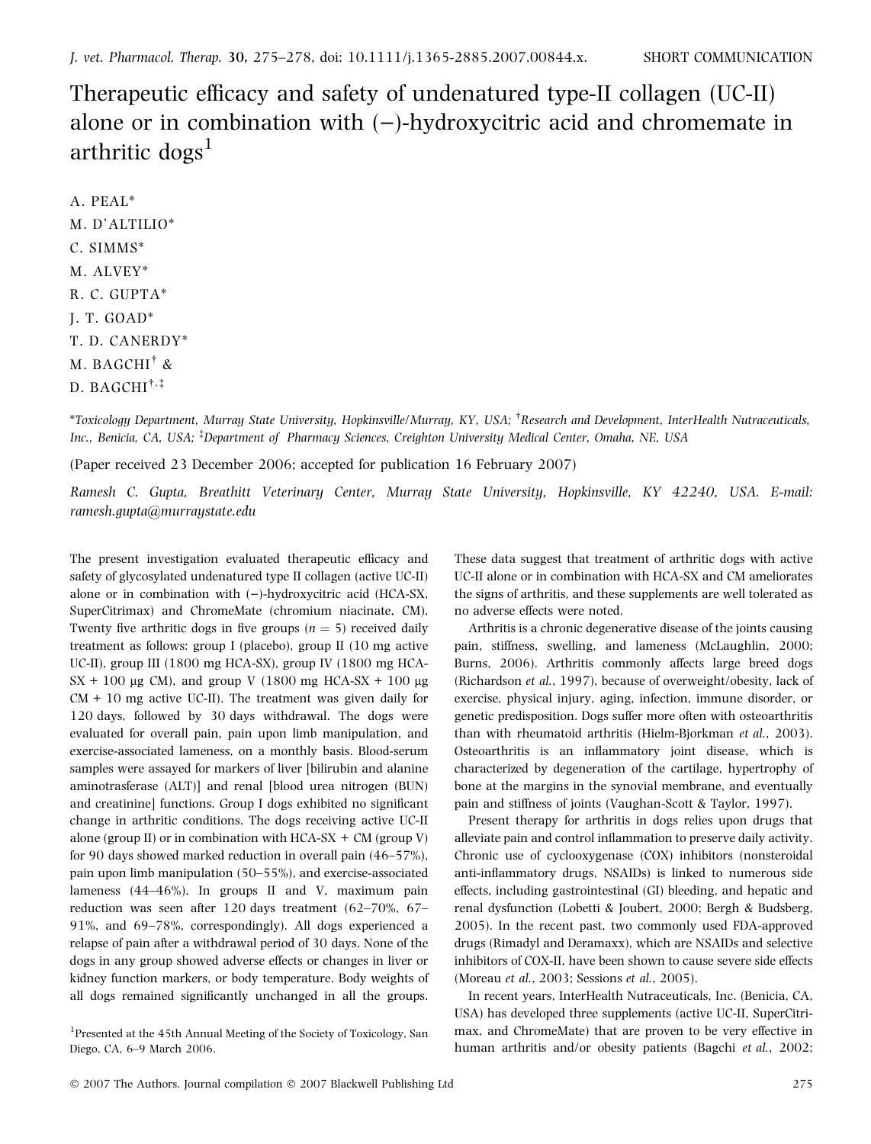Therapeutic efficacy and safety of undenatured type-II collagen (UC-II) alone or in combination with  $(-)$ -hydroxycitric acid and chromemate in arthritic  $\text{dogs}^1$ 

A. PEAL\* M. D'ALTILIO\* C. SIMMS\* M. ALVEY\* R. C. GUPTA\* J. T. GOAD\* T. D. CANERDY\*  $\mathrm M.~\mathrm{BAGCHI}^{\dagger}$  &  $_{\rm D.~BAGCHI}$ †,‡

 $^*$ Toxicology Department, Murray State University, Hopkinsville/Murray, KY, USA;  $^\dagger$ Research and Development, InterHealth Nutraceuticals, Inc., Benicia, CA, USA; <sup>‡</sup>Department of Pharmacy Sciences, Creighton University Medical Center, Omaha, NE, USA

(Paper received 23 December 2006; accepted for publication 16 February 2007)

Ramesh C. Gupta, Breathitt Veterinary Center, Murray State University, Hopkinsville, KY 42240, USA. E-mail: ramesh.gupta@murraystate.edu

The present investigation evaluated therapeutic efficacy and safety of glycosylated undenatured type II collagen (active UC-II) alone or in combination with  $(-)$ -hydroxycitric acid (HCA-SX, SuperCitrimax) and ChromeMate (chromium niacinate, CM). Twenty five arthritic dogs in five groups ( $n = 5$ ) received daily treatment as follows: group I (placebo), group II (10 mg active UC-II), group III (1800 mg HCA-SX), group IV (1800 mg HCA- $SX + 100 \mu g$  CM), and group V (1800 mg HCA-SX + 100  $\mu$ g  $CM + 10$  mg active UC-II). The treatment was given daily for 120 days, followed by 30 days withdrawal. The dogs were evaluated for overall pain, pain upon limb manipulation, and exercise-associated lameness, on a monthly basis. Blood-serum samples were assayed for markers of liver [bilirubin and alanine aminotrasferase (ALT)] and renal [blood urea nitrogen (BUN) and creatinine] functions. Group I dogs exhibited no significant change in arthritic conditions. The dogs receiving active UC-II alone (group II) or in combination with  $HCA-SX + CM$  (group V) for 90 days showed marked reduction in overall pain (46–57%), pain upon limb manipulation (50–55%), and exercise-associated lameness (44–46%). In groups II and V, maximum pain reduction was seen after 120 days treatment (62–70%, 67– 91%, and 69–78%, correspondingly). All dogs experienced a relapse of pain after a withdrawal period of 30 days. None of the dogs in any group showed adverse effects or changes in liver or kidney function markers, or body temperature. Body weights of all dogs remained significantly unchanged in all the groups.

<sup>1</sup>Presented at the 45th Annual Meeting of the Society of Toxicology, San Diego, CA, 6–9 March 2006.

These data suggest that treatment of arthritic dogs with active UC-II alone or in combination with HCA-SX and CM ameliorates the signs of arthritis, and these supplements are well tolerated as no adverse effects were noted.

Arthritis is a chronic degenerative disease of the joints causing pain, stiffness, swelling, and lameness (McLaughlin, 2000; Burns, 2006). Arthritis commonly affects large breed dogs (Richardson et al., 1997), because of overweight/obesity, lack of exercise, physical injury, aging, infection, immune disorder, or genetic predisposition. Dogs suffer more often with osteoarthritis than with rheumatoid arthritis (Hielm-Bjorkman et al., 2003). Osteoarthritis is an inflammatory joint disease, which is characterized by degeneration of the cartilage, hypertrophy of bone at the margins in the synovial membrane, and eventually pain and stiffness of joints (Vaughan-Scott & Taylor, 1997).

Present therapy for arthritis in dogs relies upon drugs that alleviate pain and control inflammation to preserve daily activity. Chronic use of cyclooxygenase (COX) inhibitors (nonsteroidal anti-inflammatory drugs, NSAIDs) is linked to numerous side effects, including gastrointestinal (GI) bleeding, and hepatic and renal dysfunction (Lobetti & Joubert, 2000; Bergh & Budsberg, 2005). In the recent past, two commonly used FDA-approved drugs (Rimadyl and Deramaxx), which are NSAIDs and selective inhibitors of COX-II, have been shown to cause severe side effects (Moreau et al., 2003; Sessions et al., 2005).

In recent years, InterHealth Nutraceuticals, Inc. (Benicia, CA, USA) has developed three supplements (active UC-II, SuperCitrimax, and ChromeMate) that are proven to be very effective in human arthritis and/or obesity patients (Bagchi et al., 2002;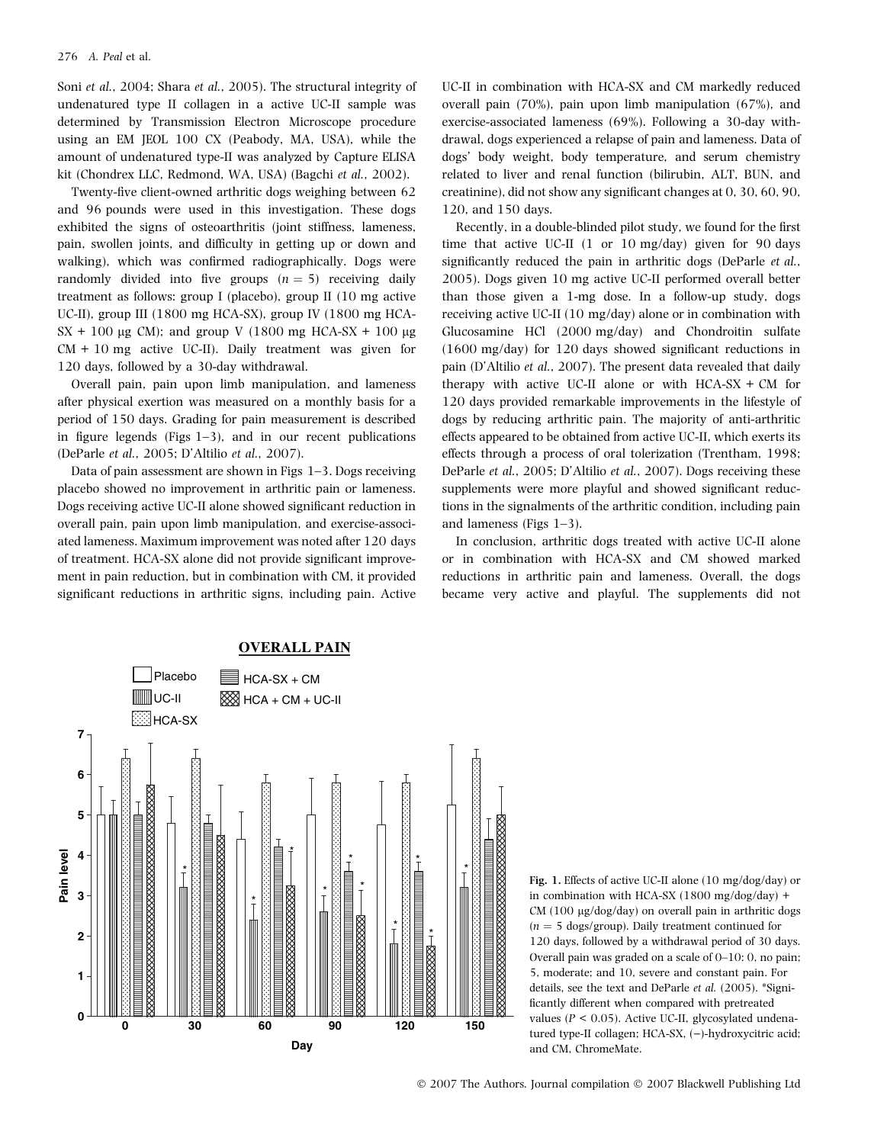Soni et al., 2004; Shara et al., 2005). The structural integrity of undenatured type II collagen in a active UC-II sample was determined by Transmission Electron Microscope procedure using an EM JEOL 100 CX (Peabody, MA, USA), while the amount of undenatured type-II was analyzed by Capture ELISA kit (Chondrex LLC, Redmond, WA, USA) (Bagchi et al., 2002).

Twenty-five client-owned arthritic dogs weighing between 62 and 96 pounds were used in this investigation. These dogs exhibited the signs of osteoarthritis (joint stiffness, lameness, pain, swollen joints, and difficulty in getting up or down and walking), which was confirmed radiographically. Dogs were randomly divided into five groups  $(n = 5)$  receiving daily treatment as follows: group I (placebo), group II (10 mg active UC-II), group III (1800 mg HCA-SX), group IV (1800 mg HCA- $SX + 100 \mu$ g CM); and group V (1800 mg HCA-SX + 100  $\mu$ g  $CM + 10$  mg active UC-II). Daily treatment was given for 120 days, followed by a 30-day withdrawal.

Overall pain, pain upon limb manipulation, and lameness after physical exertion was measured on a monthly basis for a period of 150 days. Grading for pain measurement is described in figure legends (Figs 1–3), and in our recent publications (DeParle et al., 2005; D'Altilio et al., 2007).

Data of pain assessment are shown in Figs 1–3. Dogs receiving placebo showed no improvement in arthritic pain or lameness. Dogs receiving active UC-II alone showed significant reduction in overall pain, pain upon limb manipulation, and exercise-associated lameness. Maximum improvement was noted after 120 days of treatment. HCA-SX alone did not provide significant improvement in pain reduction, but in combination with CM, it provided significant reductions in arthritic signs, including pain. Active UC-II in combination with HCA-SX and CM markedly reduced overall pain (70%), pain upon limb manipulation (67%), and exercise-associated lameness (69%). Following a 30-day withdrawal, dogs experienced a relapse of pain and lameness. Data of dogs' body weight, body temperature, and serum chemistry related to liver and renal function (bilirubin, ALT, BUN, and creatinine), did not show any significant changes at 0, 30, 60, 90, 120, and 150 days.

Recently, in a double-blinded pilot study, we found for the first time that active UC-II (1 or 10 mg/day) given for 90 days significantly reduced the pain in arthritic dogs (DeParle et al., 2005). Dogs given 10 mg active UC-II performed overall better than those given a 1-mg dose. In a follow-up study, dogs receiving active UC-II (10 mg/day) alone or in combination with Glucosamine HCl (2000 mg/day) and Chondroitin sulfate (1600 mg/day) for 120 days showed significant reductions in pain (D'Altilio et al., 2007). The present data revealed that daily therapy with active UC-II alone or with  $HCA-SX + CM$  for 120 days provided remarkable improvements in the lifestyle of dogs by reducing arthritic pain. The majority of anti-arthritic effects appeared to be obtained from active UC-II, which exerts its effects through a process of oral tolerization (Trentham, 1998; DeParle et al., 2005; D'Altilio et al., 2007). Dogs receiving these supplements were more playful and showed significant reductions in the signalments of the arthritic condition, including pain and lameness (Figs 1–3).

In conclusion, arthritic dogs treated with active UC-II alone or in combination with HCA-SX and CM showed marked reductions in arthritic pain and lameness. Overall, the dogs became very active and playful. The supplements did not



Fig. 1. Effects of active UC-II alone (10 mg/dog/day) or in combination with HCA-SX (1800 mg/dog/day) + CM (100 µg/dog/day) on overall pain in arthritic dogs  $(n = 5 \text{ dogs/group})$ . Daily treatment continued for 120 days, followed by a withdrawal period of 30 days. Overall pain was graded on a scale of 0–10: 0, no pain; 5, moderate; and 10, severe and constant pain. For details, see the text and DeParle et al. (2005). \*Significantly different when compared with pretreated values ( $P < 0.05$ ). Active UC-II, glycosylated undenatured type-II collagen; HCA-SX, (-)-hydroxycitric acid; and CM, ChromeMate.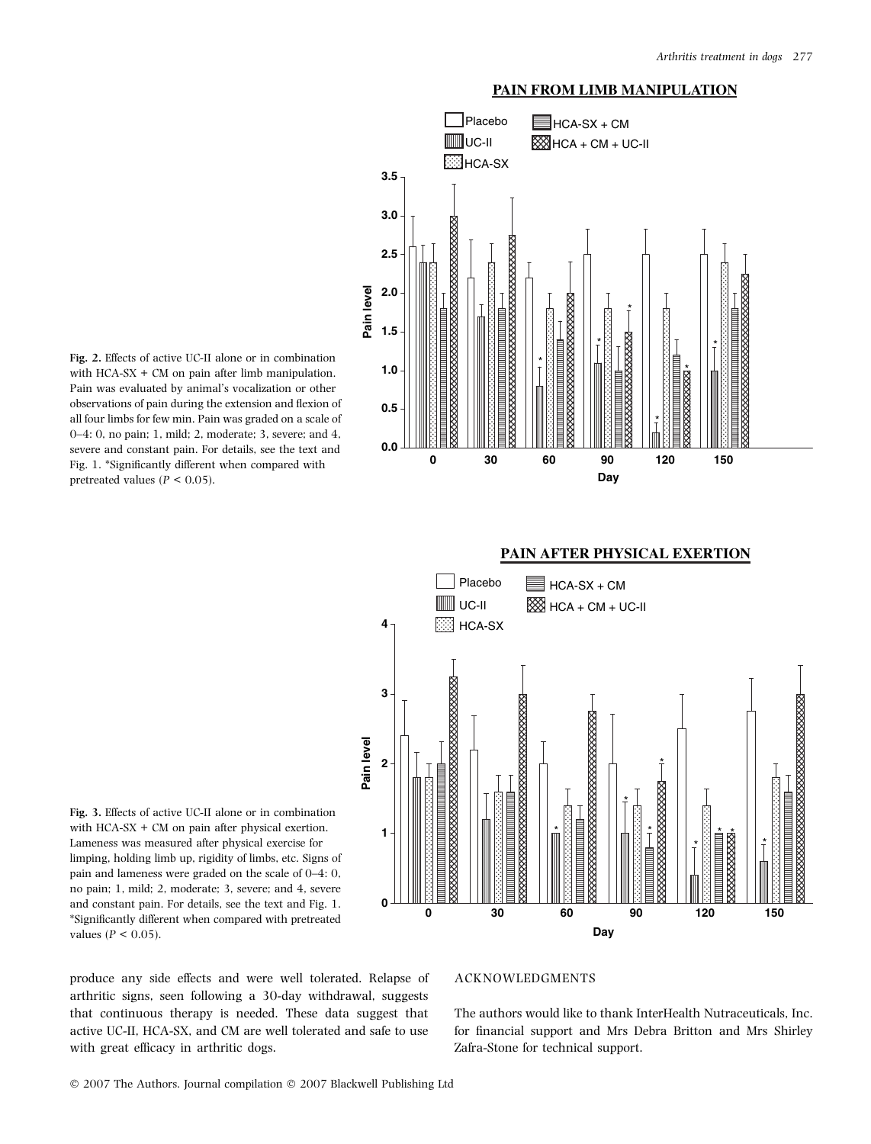## **PAIN FROM LIMB MANIPULATION**



Fig. 2. Effects of active UC-II alone or in combination with  $HCA-SX + CM$  on pain after limb manipulation. Pain was evaluated by animal's vocalization or other observations of pain during the extension and flexion of all four limbs for few min. Pain was graded on a scale of 0–4: 0, no pain; 1, mild; 2, moderate; 3, severe; and 4, severe and constant pain. For details, see the text and Fig. 1. \*Significantly different when compared with pretreated values ( $P < 0.05$ ).



Fig. 3. Effects of active UC-II alone or in combination with HCA-SX + CM on pain after physical exertion. Lameness was measured after physical exercise for limping, holding limb up, rigidity of limbs, etc. Signs of pain and lameness were graded on the scale of 0–4: 0, no pain; 1, mild; 2, moderate; 3, severe; and 4, severe and constant pain. For details, see the text and Fig. 1. \*Significantly different when compared with pretreated values ( $P < 0.05$ ).

produce any side effects and were well tolerated. Relapse of arthritic signs, seen following a 30-day withdrawal, suggests that continuous therapy is needed. These data suggest that active UC-II, HCA-SX, and CM are well tolerated and safe to use with great efficacy in arthritic dogs.

## ACKNOWLEDGMENTS

The authors would like to thank InterHealth Nutraceuticals, Inc. for financial support and Mrs Debra Britton and Mrs Shirley Zafra-Stone for technical support.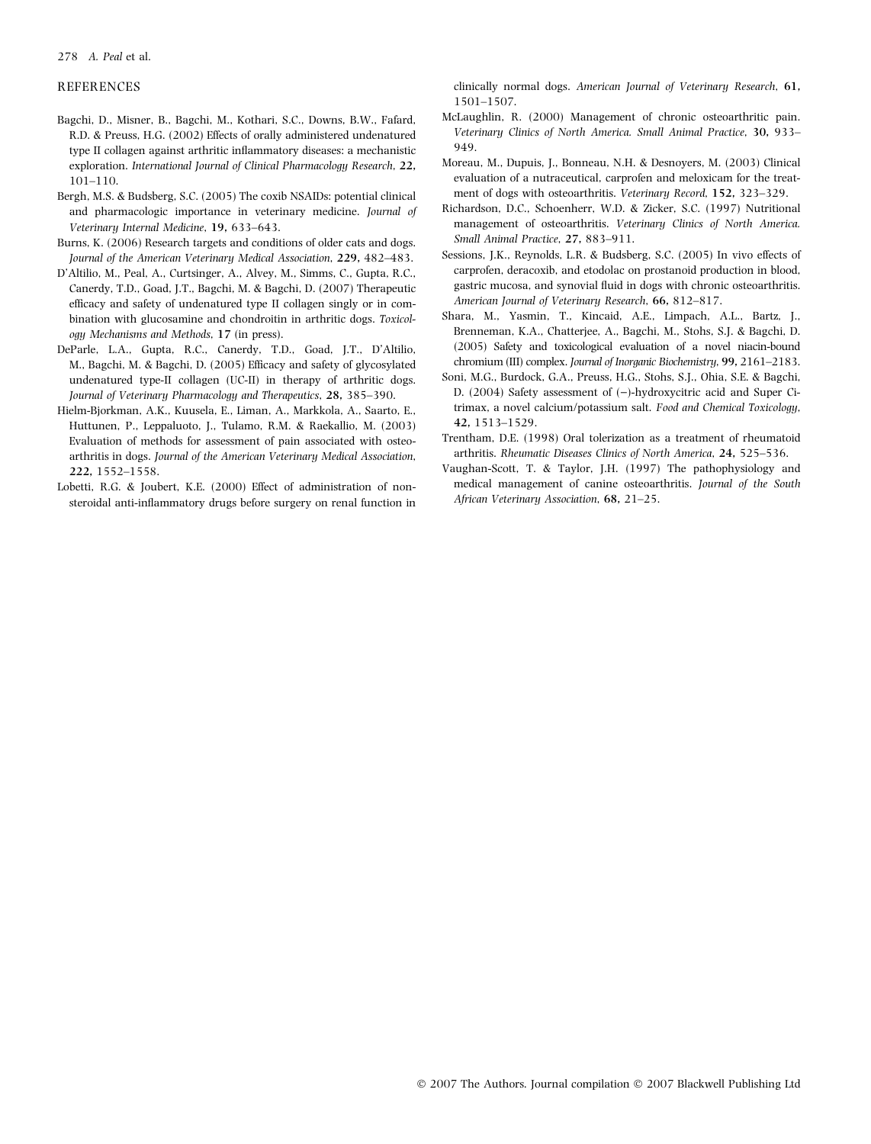## 278 A. Peal et al.

## **REFERENCES**

- Bagchi, D., Misner, B., Bagchi, M., Kothari, S.C., Downs, B.W., Fafard, R.D. & Preuss, H.G. (2002) Effects of orally administered undenatured type II collagen against arthritic inflammatory diseases: a mechanistic exploration. International Journal of Clinical Pharmacology Research, 22, 101–110.
- Bergh, M.S. & Budsberg, S.C. (2005) The coxib NSAIDs: potential clinical and pharmacologic importance in veterinary medicine. Journal of Veterinary Internal Medicine, 19, 633–643.
- Burns, K. (2006) Research targets and conditions of older cats and dogs. Journal of the American Veterinary Medical Association, 229, 482–483.
- D'Altilio, M., Peal, A., Curtsinger, A., Alvey, M., Simms, C., Gupta, R.C., Canerdy, T.D., Goad, J.T., Bagchi, M. & Bagchi, D. (2007) Therapeutic efficacy and safety of undenatured type II collagen singly or in combination with glucosamine and chondroitin in arthritic dogs. Toxicology Mechanisms and Methods, 17 (in press).
- DeParle, L.A., Gupta, R.C., Canerdy, T.D., Goad, J.T., D'Altilio, M., Bagchi, M. & Bagchi, D. (2005) Efficacy and safety of glycosylated undenatured type-II collagen (UC-II) in therapy of arthritic dogs. Journal of Veterinary Pharmacology and Therapeutics, 28, 385–390.
- Hielm-Bjorkman, A.K., Kuusela, E., Liman, A., Markkola, A., Saarto, E., Huttunen, P., Leppaluoto, J., Tulamo, R.M. & Raekallio, M. (2003) Evaluation of methods for assessment of pain associated with osteoarthritis in dogs. Journal of the American Veterinary Medical Association, 222, 1552–1558.
- Lobetti, R.G. & Joubert, K.E. (2000) Effect of administration of nonsteroidal anti-inflammatory drugs before surgery on renal function in

clinically normal dogs. American Journal of Veterinary Research, 61, 1501–1507.

- McLaughlin, R. (2000) Management of chronic osteoarthritic pain. Veterinary Clinics of North America. Small Animal Practice, 30, 933– 949.
- Moreau, M., Dupuis, J., Bonneau, N.H. & Desnoyers, M. (2003) Clinical evaluation of a nutraceutical, carprofen and meloxicam for the treatment of dogs with osteoarthritis. Veterinary Record, 152, 323–329.
- Richardson, D.C., Schoenherr, W.D. & Zicker, S.C. (1997) Nutritional management of osteoarthritis. Veterinary Clinics of North America. Small Animal Practice, 27, 883–911.
- Sessions, J.K., Reynolds, L.R. & Budsberg, S.C. (2005) In vivo effects of carprofen, deracoxib, and etodolac on prostanoid production in blood, gastric mucosa, and synovial fluid in dogs with chronic osteoarthritis. American Journal of Veterinary Research, 66, 812–817.
- Shara, M., Yasmin, T., Kincaid, A.E., Limpach, A.L., Bartz, J., Brenneman, K.A., Chatterjee, A., Bagchi, M., Stohs, S.J. & Bagchi, D. (2005) Safety and toxicological evaluation of a novel niacin-bound chromium (III) complex. Journal of Inorganic Biochemistry, 99, 2161–2183.
- Soni, M.G., Burdock, G.A., Preuss, H.G., Stohs, S.J., Ohia, S.E. & Bagchi, D. (2004) Safety assessment of  $(-)$ -hydroxycitric acid and Super Citrimax, a novel calcium/potassium salt. Food and Chemical Toxicology, 42, 1513–1529.
- Trentham, D.E. (1998) Oral tolerization as a treatment of rheumatoid arthritis. Rheumatic Diseases Clinics of North America, 24, 525–536.
- Vaughan-Scott, T. & Taylor, J.H. (1997) The pathophysiology and medical management of canine osteoarthritis. Journal of the South African Veterinary Association, 68, 21–25.